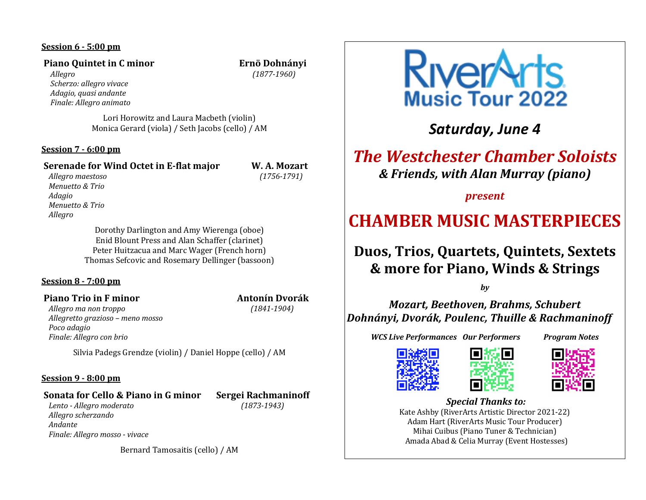## **Session 6 - 5:00 pm**

## **Piano Quintet in C minor** *C* **<b>EXECUTE: EXECUTE: EXECUTE: EXECUTE: EXECUTE: EXECUTE: EXECUTE: EXECUTE: EXECUTE: EXECUTE: EXECUTE: EXECUTE: EXECUTE: EXECUTE: EXECUTE: EXECUTE: EXECUTE: EX**

 *Allegro (1877-1960) Scherzo: allegro vivace Adagio, quasi andante Finale: Allegro animato*

Lori Horowitz and Laura Macbeth (violin) Monica Gerard (viola) / Seth Jacobs (cello) / AM

#### **Session 7 - 6:00 pm**

# **Serenade for Wind Octet in E-flat major W. A. Mozart**

 *Allegro maestoso (1756-1791) Menuetto & Trio Adagio Menuetto & Trio Allegro*

> Dorothy Darlington and Amy Wierenga (oboe) Enid Blount Press and Alan Schaffer (clarinet) Peter Huitzacua and Marc Wager (French horn) Thomas Sefcovic and Rosemary Dellinger (bassoon)

#### **Session 8 - 7:00 pm**

## **Piano Trio in F minor** *n**M**Megalam <b>Antonín* Dvorák

 *Allegro ma non troppo (1841-1904) Allegretto grazioso – meno mosso Poco adagio Finale: Allegro con brio*

Silvia Padegs Grendze (violin) / Daniel Hoppe (cello) / AM

#### **Session 9 - 8:00 pm**

#### **Sonata for Cello & Piano in G minor** Sergei Rachmaninoff

 *Lento - Allegro moderato (1873-1943) Allegro scherzando Andante Finale: Allegro mosso - vivace*

Bernard Tamosaitis (cello) / AM



*Saturday, June 4*

# *The Westchester Chamber Soloists & Friends, with Alan Murray (piano)*

*present*

# **CHAMBER MUSIC MASTERPIECES**

# **Duos, Trios, Quartets, Quintets, Sextets & more for Piano, Winds & Strings**

*by*

*Mozart, Beethoven, Brahms, Schubert Dohnányi, Dvorák, Poulenc, Thuille & Rachmaninoff*

**WCS Live Performances Our Performers Program Notes** 







#### *Special Thanks to:* Kate Ashby (RiverArts Artistic Director 2021-22) Adam Hart (RiverArts Music Tour Producer) Mihai Cuibus (Piano Tuner & Technician) Amada Abad & Celia Murray (Event Hostesses)